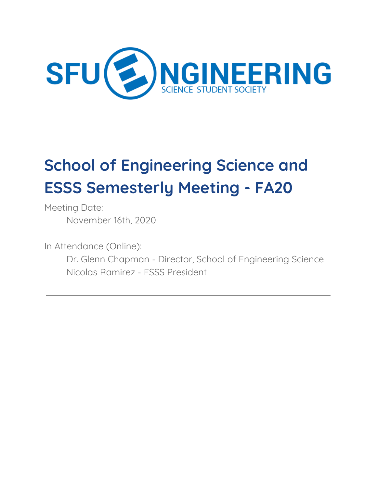

# **School of Engineering Science and ESSS Semesterly Meeting - FA20**

Meeting Date: November 16th, 2020

In Attendance (Online): Dr. Glenn Chapman - Director, School of Engineering Science Nicolas Ramirez - ESSS President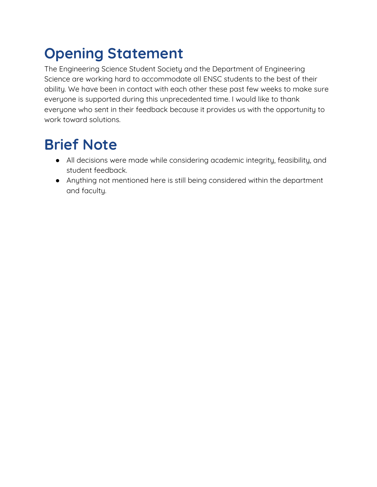# <span id="page-1-0"></span>**Opening Statement**

The Engineering Science Student Society and the Department of Engineering Science are working hard to accommodate all ENSC students to the best of their ability. We have been in contact with each other these past few weeks to make sure everyone is supported during this unprecedented time. I would like to thank everyone who sent in their feedback because it provides us with the opportunity to work toward solutions.

#### <span id="page-1-1"></span>**Brief Note**

- All decisions were made while considering academic integrity, feasibility, and student feedback.
- Anything not mentioned here is still being considered within the department and faculty.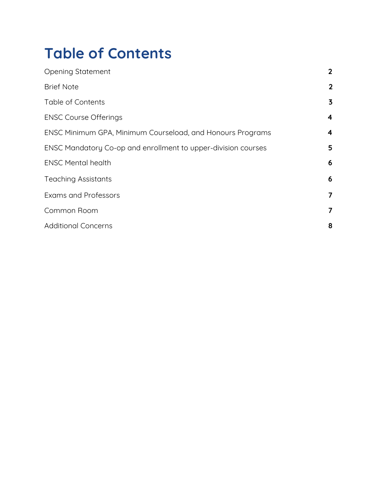#### <span id="page-2-0"></span>**Table of Contents**

| <b>Opening Statement</b>                                      | $\overline{2}$          |
|---------------------------------------------------------------|-------------------------|
| <b>Brief Note</b>                                             | $\overline{2}$          |
| Table of Contents                                             | $\overline{\mathbf{3}}$ |
| <b>ENSC Course Offerings</b>                                  | 4                       |
| ENSC Minimum GPA, Minimum Courseload, and Honours Programs    | 4                       |
| ENSC Mandatory Co-op and enrollment to upper-division courses | 5                       |
| <b>ENSC Mental health</b>                                     | 6                       |
| <b>Teaching Assistants</b>                                    | 6                       |
| <b>Exams and Professors</b>                                   | $\overline{\mathbf{z}}$ |
| Common Room                                                   | $\overline{\mathbf{z}}$ |
| <b>Additional Concerns</b>                                    | 8                       |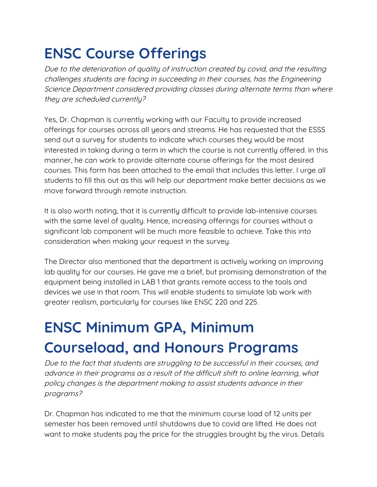#### <span id="page-3-0"></span>**ENSC Course Offerings**

Due to the deterioration of quality of instruction created by covid, and the resulting challenges students are facing in succeeding in their courses, has the Engineering Science Department considered providing classes during alternate terms than where they are scheduled currently?

Yes, Dr. Chapman is currently working with our Faculty to provide increased offerings for courses across all years and streams. He has requested that the ESSS send out a survey for students to indicate which courses they would be most interested in taking during a term in which the course is not currently offered. In this manner, he can work to provide alternate course offerings for the most desired courses. This form has been attached to the email that includes this letter. I urge all students to fill this out as this will help our department make better decisions as we move forward through remote instruction.

It is also worth noting, that it is currently difficult to provide lab-intensive courses with the same level of quality. Hence, increasing offerings for courses without a significant lab component will be much more feasible to achieve. Take this into consideration when making your request in the survey.

The Director also mentioned that the department is actively working on improving lab quality for our courses. He gave me a brief, but promising demonstration of the equipment being installed in LAB 1 that grants remote access to the tools and devices we use in that room. This will enable students to simulate lab work with greater realism, particularly for courses like ENSC 220 and 225.

# <span id="page-3-1"></span>**ENSC Minimum GPA, Minimum Courseload, and Honours Programs**

Due to the fact that students are struggling to be successful in their courses, and advance in their programs as <sup>a</sup> result of the difficult shift to online learning, what policy changes is the department making to assist students advance in their programs?

Dr. Chapman has indicated to me that the minimum course load of 12 units per semester has been removed until shutdowns due to covid are lifted. He does not want to make students pay the price for the struggles brought by the virus. Details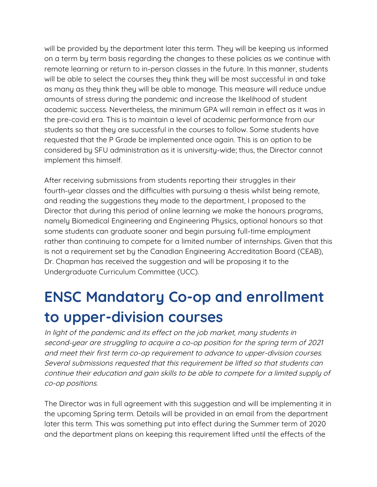will be provided by the department later this term. They will be keeping us informed on a term by term basis regarding the changes to these policies as we continue with remote learning or return to in-person classes in the future. In this manner, students will be able to select the courses they think they will be most successful in and take as many as they think they will be able to manage. This measure will reduce undue amounts of stress during the pandemic and increase the likelihood of student academic success. Nevertheless, the minimum GPA will remain in effect as it was in the pre-covid era. This is to maintain a level of academic performance from our students so that they are successful in the courses to follow. Some students have requested that the P Grade be implemented once again. This is an option to be considered by SFU administration as it is university-wide; thus, the Director cannot implement this himself.

After receiving submissions from students reporting their struggles in their fourth-year classes and the difficulties with pursuing a thesis whilst being remote, and reading the suggestions they made to the department, I proposed to the Director that during this period of online learning we make the honours programs, namely Biomedical Engineering and Engineering Physics, optional honours so that some students can graduate sooner and begin pursuing full-time employment rather than continuing to compete for a limited number of internships. Given that this is not a requirement set by the Canadian Engineering Accreditation Board (CEAB), Dr. Chapman has received the suggestion and will be proposing it to the Undergraduate Curriculum Committee (UCC).

# <span id="page-4-0"></span>**ENSC Mandatory Co-op and enrollment to upper-division courses**

In light of the pandemic and its effect on the job market, many students in second-year are struggling to acquire <sup>a</sup> co-op position for the spring term of 2021 and meet their first term co-op requirement to advance to upper-division courses. Several submissions requested that this requirement be lifted so that students can continue their education and gain skills to be able to compete for <sup>a</sup> limited supply of co-op positions.

The Director was in full agreement with this suggestion and will be implementing it in the upcoming Spring term. Details will be provided in an email from the department later this term. This was something put into effect during the Summer term of 2020 and the department plans on keeping this requirement lifted until the effects of the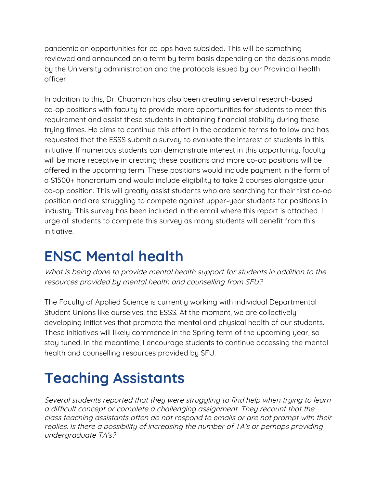pandemic on opportunities for co-ops have subsided. This will be something reviewed and announced on a term by term basis depending on the decisions made by the University administration and the protocols issued by our Provincial health officer.

In addition to this, Dr. Chapman has also been creating several research-based co-op positions with faculty to provide more opportunities for students to meet this requirement and assist these students in obtaining financial stability during these trying times. He aims to continue this effort in the academic terms to follow and has requested that the ESSS submit a survey to evaluate the interest of students in this initiative. If numerous students can demonstrate interest in this opportunity, faculty will be more receptive in creating these positions and more co-op positions will be offered in the upcoming term. These positions would include payment in the form of a \$1500+ honorarium and would include eligibility to take 2 courses alongside your co-op position. This will greatly assist students who are searching for their first co-op position and are struggling to compete against upper-year students for positions in industry. This survey has been included in the email where this report is attached. I urge all students to complete this survey as many students will benefit from this initiative.

#### <span id="page-5-0"></span>**ENSC Mental health**

What is being done to provide mental health support for students in addition to the resources provided by mental health and counselling from SFU?

The Faculty of Applied Science is currently working with individual Departmental Student Unions like ourselves, the ESSS. At the moment, we are collectively developing initiatives that promote the mental and physical health of our students. These initiatives will likely commence in the Spring term of the upcoming year, so stay tuned. In the meantime, I encourage students to continue accessing the mental health and counselling resources provided by SFU.

# <span id="page-5-1"></span>**Teaching Assistants**

Several students reported that they were struggling to find help when trying to learn <sup>a</sup> difficult concept or complete <sup>a</sup> challenging assignment. They recount that the class teaching assistants often do not respond to emails or are not prompt with their replies. Is there <sup>a</sup> possibility of increasing the number of TA's or perhaps providing undergraduate TA's?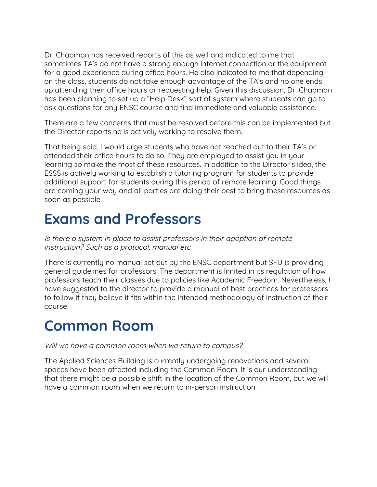Dr. Chapman has received reports of this as well and indicated to me that sometimes TA's do not have a strong enough internet connection or the equipment for a good experience during office hours. He also indicated to me that depending on the class, students do not take enough advantage of the TA's and no one ends up attending their office hours or requesting help. Given this discussion, Dr. Chapman has been planning to set up a "Help Desk" sort of system where students can go to ask questions for any ENSC course and find immediate and valuable assistance.

There are a few concerns that must be resolved before this can be implemented but the Director reports he is actively working to resolve them.

That being said, I would urge students who have not reached out to their TA's or attended their office hours to do so. They are employed to assist you in your learning so make the most of these resources. In addition to the Director's idea, the ESSS is actively working to establish a tutoring program for students to provide additional support for students during this period of remote learning. Good things are coming your way and all parties are doing their best to bring these resources as soon as possible.

#### <span id="page-6-0"></span>**Exams and Professors**

Is there <sup>a</sup> system in place to assist professors in their adoption of remote instruction? Such as a protocol, manual etc.

There is currently no manual set out by the ENSC department but SFU is providing general guidelines for professors. The department is limited in its regulation of how professors teach their classes due to policies like Academic Freedom. Nevertheless, I have suggested to the director to provide a manual of best practices for professors to follow if they believe it fits within the intended methodology of instruction of their course.

#### <span id="page-6-1"></span>**Common Room**

Will we have <sup>a</sup> common room when we return to campus?

The Applied Sciences Building is currently undergoing renovations and several spaces have been affected including the Common Room. It is our understanding that there might be a possible shift in the location of the Common Room, but we will have a common room when we return to in-person instruction.